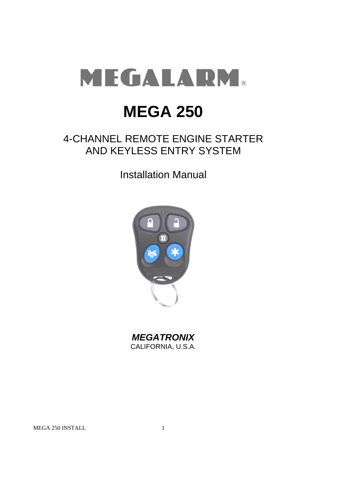

# **MEGA 250**

## 4-CHANNEL REMOTE ENGINE STARTER AND KEYLESS ENTRY SYSTEM

Installation Manual



*MEGATRONIX* CALIFORNIA, U.S.A.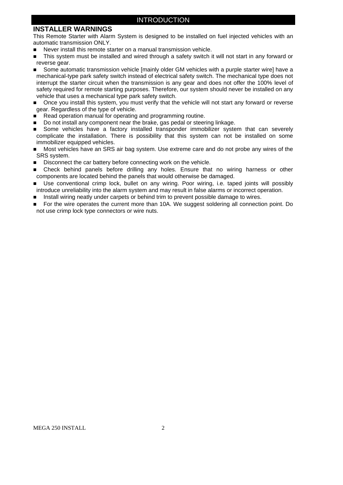### INTRODUCTION

### **INSTALLER WARNINGS**

This Remote Starter with Alarm System is designed to be installed on fuel injected vehicles with an automatic transmission ONLY.

- Never install this remote starter on a manual transmission vehicle.
- This system must be installed and wired through a safety switch it will not start in any forward or reverse gear.
- Some automatic transmission vehicle [mainly older GM vehicles with a purple starter wire] have a mechanical-type park safety switch instead of electrical safety switch. The mechanical type does not interrupt the starter circuit when the transmission is any gear and does not offer the 100% level of safety required for remote starting purposes. Therefore, our system should never be installed on any vehicle that uses a mechanical type park safety switch.
- Once you install this system, you must verify that the vehicle will not start any forward or reverse gear. Regardless of the type of vehicle.
- Read operation manual for operating and programming routine.
- Do not install any component near the brake, gas pedal or steering linkage.
- Some vehicles have a factory installed transponder immobilizer system that can severely complicate the installation. There is possibility that this system can not be installed on some immobilizer equipped vehicles.
- Most vehicles have an SRS air bag system. Use extreme care and do not probe any wires of the SRS system.
- Disconnect the car battery before connecting work on the vehicle.
- Check behind panels before drilling any holes. Ensure that no wiring harness or other components are located behind the panels that would otherwise be damaged.
- Use conventional crimp lock, bullet on any wiring. Poor wiring, i.e. taped joints will possibly introduce unreliability into the alarm system and may result in false alarms or incorrect operation.
- Install wiring neatly under carpets or behind trim to prevent possible damage to wires.
- For the wire operates the current more than 10A. We suggest soldering all connection point. Do not use crimp lock type connectors or wire nuts.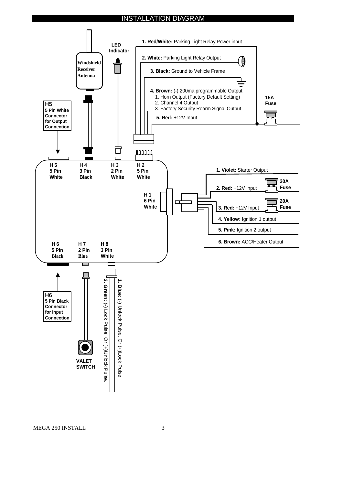### INSTALLATION DIAGRAM

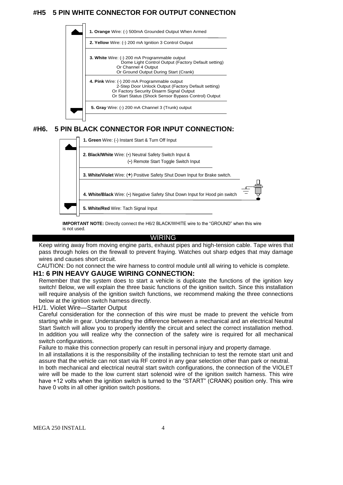### **#H5 5 PIN WHITE CONNECTOR FOR OUTPUT CONNECTION**



### **#H6. 5 PIN BLACK CONNECTOR FOR INPUT CONNECTION:**



**IMPORTANT NOTE:** Directly connect the H6/2 BLACK/WHITE wire to the "GROUND" when this wire is not used.

#### WIRING

Keep wiring away from moving engine parts, exhaust pipes and high-tension cable. Tape wires that pass through holes on the firewall to prevent fraying. Watches out sharp edges that may damage wires and causes short circuit.

CAUTION: Do not connect the wire harness to control module until all wiring to vehicle is complete.

### **H1: 6 PIN HEAVY GAUGE WIRING CONNECTION:**

Remember that the system does to start a vehicle is duplicate the functions of the ignition key switch! Below, we will explain the three basic functions of the ignition switch. Since this installation will require analysis of the ignition switch functions, we recommend making the three connections below at the ignition switch harness directly.

#### H1/1. Violet Wire—Starter Output

Careful consideration for the connection of this wire must be made to prevent the vehicle from starting while in gear. Understanding the difference between a mechanical and an electrical Neutral Start Switch will allow you to properly identify the circuit and select the correct installation method. In addition you will realize why the connection of the safety wire is required for all mechanical switch configurations.

Failure to make this connection properly can result in personal injury and property damage.

In all installations it is the responsibility of the installing technician to test the remote start unit and assure that the vehicle can not start via RF control in any gear selection other than park or neutral.

In both mechanical and electrical neutral start switch configurations, the connection of the VIOLET wire will be made to the low current start solenoid wire of the ignition switch harness. This wire have +12 volts when the ignition switch is turned to the "START" (CRANK) position only. This wire have 0 volts in all other ignition switch positions.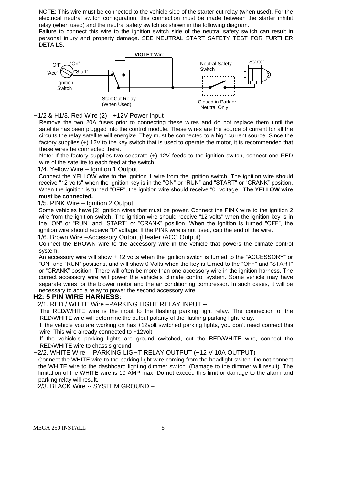NOTE: This wire must be connected to the vehicle side of the starter cut relay (when used). For the electrical neutral switch configuration, this connection must be made between the starter inhibit relay (when used) and the neutral safety switch as shown in the following diagram.

Failure to connect this wire to the ignition switch side of the neutral safety switch can result in personal injury and property damage. SEE NEUTRAL START SAFETY TEST FOR FURTHER DETAILS.



H1/2 & H1/3. Red Wire (2)-- +12V Power Input

Remove the two 20A fuses prior to connecting these wires and do not replace them until the satellite has been plugged into the control module. These wires are the source of current for all the circuits the relay satellite will energize. They must be connected to a high current source. Since the factory supplies (+) 12V to the key switch that is used to operate the motor, it is recommended that these wires be connected there.

Note: If the factory supplies two separate (+) 12V feeds to the ignition switch, connect one RED wire of the satellite to each feed at the switch.

H1/4. Yellow Wire – Ignition 1 Output

Connect the YELLOW wire to the ignition 1 wire from the ignition switch. The ignition wire should receive "12 volts" when the ignition key is in the "ON" or "RUN" and "START" or "CRANK" position. When the ignition is turned "OFF", the ignition wire should receive "0" voltage.. **The YELLOW wire must be connected.**

H1/5. PINK Wire – Ignition 2 Output

Some vehicles have [2] ignition wires that must be power. Connect the PINK wire to the ignition 2 wire from the ignition switch. The ignition wire should receive "12 volts" when the ignition key is in the "ON" or "RUN" and "START" or "CRANK" position. When the ignition is turned "OFF", the ignition wire should receive "0" voltage. If the PINK wire is not used, cap the end of the wire.

H1/6. Brown Wire –Accessory Output (Heater /ACC Output)

Connect the BROWN wire to the accessory wire in the vehicle that powers the climate control system.

An accessory wire will show + 12 volts when the ignition switch is turned to the "ACCESSORY" or "ON" and "RUN" positions, and will show 0 Volts when the key is turned to the "OFF" and "START" or "CRANK" position. There will often be more than one accessory wire in the ignition harness. The correct accessory wire will power the vehicle's climate control system. Some vehicle may have separate wires for the blower motor and the air conditioning compressor. In such cases, it will be necessary to add a relay to power the second accessory wire.

### **H2: 5 PIN WIRE HARNESS:**

H2/1. RED / WHITE Wire –PARKING LIGHT RELAY INPUT --

The RED/WHITE wire is the input to the flashing parking light relay. The connection of the RED/WHITE wire will determine the output polarity of the flashing parking light relay.

If the vehicle you are working on has +12volt switched parking lights, you don't need connect this wire. This wire already connected to +12volt.

If the vehicle's parking lights are ground switched, cut the RED/WHITE wire, connect the RED/WHITE wire to chassis ground.

H2/2. WHITE Wire -- PARKING LIGHT RELAY OUTPUT (+12 V 10A OUTPUT) --

Connect the WHITE wire to the parking light wire coming from the headlight switch. Do not connect the WHITE wire to the dashboard lighting dimmer switch. (Damage to the dimmer will result). The limitation of the WHITE wire is 10 AMP max. Do not exceed this limit or damage to the alarm and parking relay will result.

H2/3. BLACK Wire -- SYSTEM GROUND –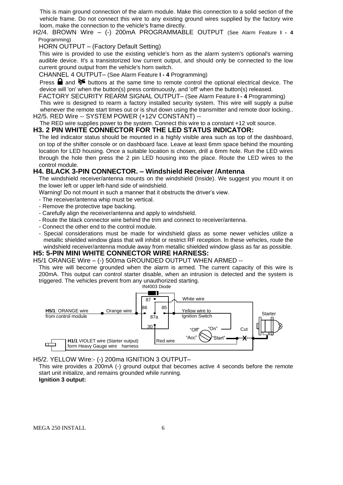This is main ground connection of the alarm module. Make this connection to a solid section of the vehicle frame. Do not connect this wire to any existing ground wires supplied by the factory wire loom, make the connection to the vehicle's frame directly.

H2/4. BROWN Wire – (-) 200mA PROGRAMMABLE OUTPUT (See Alarm Feature **I - 4** Programming)

HORN OUTPUT – (Factory Default Setting)

This wire is provided to use the existing vehicle's horn as the alarm system's optional's warning audible device. It's a transistorized low current output, and should only be connected to the low current ground output from the vehicle's horn switch.

CHANNEL 4 OUTPUT– (See Alarm Feature **I - 4** Programming)

Press  $\Box$  and  $\triangleright\hspace{-3.8mm}$  buttons at the same time to remote control the optional electrical device. The device will 'on' when the button(s) press continuously, and 'off' when the button(s) released.

FACTORY SECURITY REARM SIGNAL OUTPUT– (See Alarm Feature **I - 4** Programming) This wire is designed to rearm a factory installed security system. This wire will supply a pulse whenever the remote start times out or is shut down using the transmitter and remote door locking.. H2/5. RED Wire -- SYSTEM POWER (+12V CONSTANT) --

The RED wire supplies power to the system. Connect this wire to a constant +12 volt source.

### **H3. 2 PIN WHITE CONNECTOR FOR THE LED STATUS INDICATOR:**

The led indicator status should be mounted in a highly visible area such as top of the dashboard, on top of the shifter console or on dashboard face. Leave at least 6mm space behind the mounting location for LED housing. Once a suitable location is chosen, drill a 6mm hole. Run the LED wires through the hole then press the 2 pin LED housing into the place. Route the LED wires to the control module.

### **H4. BLACK 3-PIN CONNECTOR. – Windshield Receiver /Antenna**

The windshield receiver/antenna mounts on the windshield (Inside). We suggest you mount it on the lower left or upper left-hand side of windshield.

Warning! Do not mount in such a manner that it obstructs the driver's view.

- The receiver/antenna whip must be vertical.

- Remove the protective tape backing.
- Carefully align the receiver/antenna and apply to windshield.
- Route the black connector wire behind the trim and connect to receiver/antenna.
- Connect the other end to the control module.
- Special considerations must be made for windshield glass as some newer vehicles utilize a metallic shielded window glass that will inhibit or restrict RF reception. In these vehicles, route the windshield receiver/antenna module away from metallic shielded window glass as far as possible.

### **H5: 5-PIN MINI WHITE CONNECTOR WIRE HARNESS:**

H5/1 ORANGE Wire – (-) 500ma GROUNDED OUTPUT WHEN ARMED --

This wire will become grounded when the alarm is armed. The current capacity of this wire is 200mA. This output can control starter disable, when an intrusion is detected and the system is triggered. The vehicles prevent from any unauthorized starting.



H5/2. YELLOW Wire:- (-) 200ma IGNITION 3 OUTPUT–

This wire provides a 200mA (-) ground output that becomes active 4 seconds before the remote start unit initialize, and remains grounded while running.

#### **Ignition 3 output:**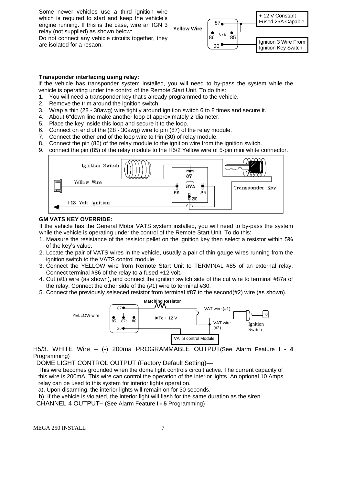Some newer vehicles use a third ignition wire which is required to start and keep the vehicle's engine running. If this is the case, wire an IGN 3 relay (not supplied) as shown below: Do not connect any vehicle circuits together, they

are isolated for a resaon.



#### **Transponder interfacing using relay:**

If the vehicle has transponder system installed, you will need to by-pass the system while the vehicle is operating under the control of the Remote Start Unit. To do this:

- 1. You will need a transponder key that's already programmed to the vehicle.
- 2. Remove the trim around the ignition switch.
- 3. Wrap a thin (28 30awg) wire tightly around ignition switch 6 to 8 times and secure it.
- 4. About 6"down line make another loop of approximately 2"diameter.
- 5. Place the key inside this loop and secure it to the loop.
- 6. Connect on end of the (28 30awg) wire to pin (87) of the relay module.
- 7. Connect the other end of the loop wire to Pin (30) of relay module.
- 8. Connect the pin (86) of the relay module to the ignition wire from the ignition switch.
- 9. connect the pin (85) of the relay module to the H5/2 Yellow wire of 5-pin mini white connector.



#### **GM VATS KEY OVERRIDE:**

If the vehicle has the General Motor VATS system installed, you will need to by-pass the system while the vehicle is operating under the control of the Remote Start Unit. To do this:

- 1. Measure the resistance of the resistor pellet on the ignition key then select a resistor within 5% of the key's value.
- 2. Locate the pair of VATS wires in the vehicle, usually a pair of thin gauge wires running from the ignition switch to the VATS control module.
- 3. Connect the YELLOW wire from Remote Start Unit to TERMINAL #85 of an external relay. Connect terminal #86 of the relay to a fused +12 volt.
- 4. Cut (#1) wire (as shown), and connect the ignition switch side of the cut wire to terminal #87a of the relay. Connect the other side of the (#1) wire to terminal #30.
- 5. Connect the previously selseced resistor from terminal #87 to the second(#2) wire (as shown).



H5/3. WHITE Wire – (-) 200ma PROGRAMMABLE OUTPUT(See Alarm Feature **I - 4** Programming)

DOME LIGHT CONTROL OUTPUT (Factory Default Setting)—

This wire becomes grounded when the dome light controls circuit active. The current capacity of this wire is 200mA. This wire can control the operation of the interior lights. An optional 10 Amps relay can be used to this system for interior lights operation.

a). Upon disarming, the interior lights will remain on for 30 seconds.

b). If the vehicle is violated, the interior light will flash for the same duration as the siren.

CHANNEL 4 OUTPUT– (See Alarm Feature **I - 5** Programming)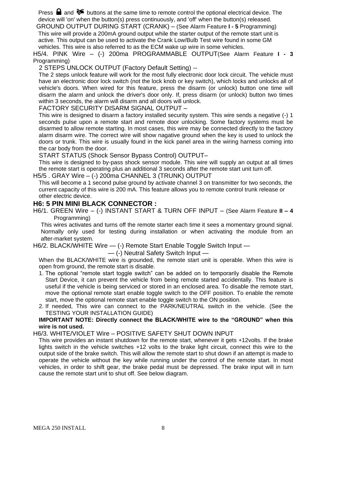Press  $\Box$  and  $\triangleright$  buttons at the same time to remote control the optional electrical device. The device will 'on' when the button(s) press continuously, and 'off' when the button(s) released.

GROUND OUTPUT DURING START (CRANK) – (See Alarm Feature **I - 5** Programming) This wire will provide a 200mA ground output while the starter output of the remote start unit is active. This output can be used to activate the Crank Low/Bulb Test wire found in some GM vehicles. This wire is also referred to as the ECM wake up wire in some vehicles.

H5/4. PINK Wire – (-) 200ma PROGRAMMABLE OUTPUT(See Alarm Feature **I - 3** Programming)

#### 2 STEPS UNLOCK OUTPUT (Factory Default Setting) --

The 2 steps unlock feature will work for the most fully electronic door lock circuit. The vehicle must have an electronic door lock switch (not the lock knob or key switch), which locks and unlocks all of vehicle's doors. When wired for this feature, press the disarm (or unlock) button one time will disarm the alarm and unlock the driver's door only. If, press disarm (or unlock) button two times within 3 seconds, the alarm will disarm and all doors will unlock.

#### FACTORY SECURITY DISARM SIGNAL OUTPUT –

This wire is designed to disarm a factory installed security system. This wire sends a negative (-) 1 seconds pulse upon a remote start and remote door unlocking. Some factory systems must be disarmed to allow remote starting. In most cases, this wire may be connected directly to the factory alarm disarm wire. The correct wire will show nagative ground when the key is used to unlock the doors or trunk. This wire is usually found in the kick panel area in the wiring harness coming into the car body from the door.

START STATUS (Shock Sensor Bypass Control) OUTPUT–

This wire is designed to by-pass shock sensor module. This wire will supply an output at all times the remote start is operating plus an additional 3 seconds after the remote start unit turn off.

H5/5 . GRAY Wire – (-) 200ma CHANNEL 3 (TRUNK) OUTPUT

This will become a 1 second pulse ground by activate channel 3 on transmitter for two seconds, the current capacity of this wire is 200 mA. This feature allows you to remote control trunk release or other electric device.

### **H6: 5 PIN MINI BLACK CONNECTOR :**

H6/1. GREEN Wire – (-) INSTANT START & TURN OFF INPUT – (See Alarm Feature **II – 4** Programming)

This wires activates and turns off the remote starter each time it sees a momentary ground signal. Normally only used for testing during installation or when activating the module from an after-market system.

H6/2. BLACK/WHITE Wire - (-) Remote Start Enable Toggle Switch Input -

— (-) Neutral Safety Switch Input —

When the BLACK/WHITE wire is grounded, the remote start unit is operable. When this wire is open from ground, the remote start is disable.

- 1. The optional "remote start toggle switch" can be added on to temporarily disable the Remote Start Device, it can prevent the vehicle from being remote started accidentally. This feature is useful if the vehicle is being serviced or stored in an enclosed area. To disable the remote start, move the optional remote start enable toggle switch to the OFF position. To enable the remote start, move the optional remote start enable toggle switch to the ON position.
- 2. If needed, This wire can connect to the PARK/NEUTRAL switch in the vehicle. (See the TESTING YOUR INSTALLATION GUIDE)

#### **IMPORTANT NOTE: Directly connect the BLACK/WHITE wire to the "GROUND" when this wire is not used.**

### H6/3. WHITE/VIOLET Wire – POSITIVE SAFETY SHUT DOWN INPUT

This wire provides an instant shutdown for the remote start, whenever it gets +12volts. If the brake lights switch in the vehicle switches +12 volts to the brake light circuit, connect this wire to the output side of the brake switch. This will allow the remote start to shut down if an attempt is made to operate the vehicle without the key while running under the control of the remote start. In most vehicles, in order to shift gear, the brake pedal must be depressed. The brake input will in turn cause the remote start unit to shut off. See below diagram.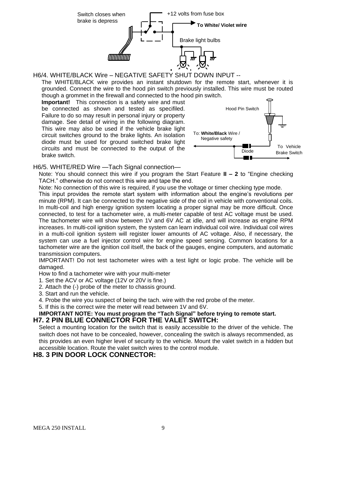

H6/4. WHITE/BLACK Wire – NEGATIVE SAFETY SHUT DOWN INPUT --

The WHITE/BLACK wire provides an instant shutdown for the remote start, whenever it is grounded. Connect the wire to the hood pin switch previously installed. This wire must be routed though a grommet in the firewall and connected to the hood pin switch.

**Important!** This connection is a safety wire and must be connected as shown and tested as specifiled. Failure to do so may result in personal injury or property damage. See detail of wiring in the following diagram. This wire may also be used if the vehicle brake light circuit switches ground to the brake lights. An isolation diode must be used for ground switched brake light circuits and must be connected to the output of the brake switch.



H6/5. WHITE/RED Wire —Tach Signal connection—

Note: You should connect this wire if you program the Start Feature **II – 2** to "Engine checking TACH." otherwise do not connect this wire and tape the end.

Note: No connection of this wire is required, if you use the voltage or timer checking type mode.

This input provides the remote start system with information about the engine's revolutions per minute (RPM). It can be connected to the negative side of the coil in vehicle with conventional coils. In multi-coil and high energy ignition system locating a proper signal may be more difficult. Once connected, to test for a tachometer wire, a multi-meter capable of test AC voltage must be used. The tachometer wire will show between 1V and 6V AC at idle, and will increase as engine RPM increases. In multi-coil ignition system, the system can learn individual coil wire. Individual coil wires in a multi-coil ignition system will register lower amounts of AC voltage. Also, if necessary, the system can use a fuel injector control wire for engine speed sensing. Common locations for a tachometer wire are the ignition coil itself, the back of the gauges, engine computers, and automatic transmission computers.

IMPORTANT! Do not test tachometer wires with a test light or logic probe. The vehicle will be damaged.

How to find a tachometer wire with your multi-meter

1. Set the ACV or AC voltage (12V or 20V is fine.)

2. Attach the (-) probe of the meter to chassis ground.

3. Start and run the vehicle.

4. Probe the wire you suspect of being the tach. wire with the red probe of the meter.

5. If this is the correct wire the meter will read between 1V and 6V.

#### **IMPORTANT NOTE: You must program the "Tach Signal" before trying to remote start. H7. 2 PIN BLUE CONNECTOR FOR THE VALET SWITCH:**

Select a mounting location for the switch that is easily accessible to the driver of the vehicle. The switch does not have to be concealed, however, concealing the switch is always recommended, as this provides an even higher level of security to the vehicle. Mount the valet switch in a hidden but accessible location. Route the valet switch wires to the control module.

### **H8. 3 PIN DOOR LOCK CONNECTOR:**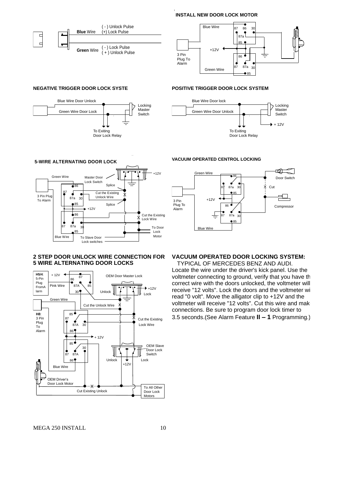**INSTALL NEW DOOR LOCK MOTOR**

I





#### **NEGATIVE TRIGGER DOOR LOCK SYSTE**





#### **2 STEP DOOR UNLOCK WIRE CONNECTION FOR 5 WIRE ALTERNATING DOOR LOCKS**



**POSITIVE TRIGGER DOOR LOCK SYSTEM**

Blue Wire Door lock Green Wire Door Unlock

> To Exiting Door Lock Relay

Locking **Master Switch** 

 $+ 12V$ 





### **VACUUM OPERATED DOOR LOCKING SYSTEM:**

TYPICAL OF MERCEDES BENZ AND AUDI. Locate the wire under the driver's kick panel. Use the voltmeter connecting to ground, verify that you have th correct wire with the doors unlocked, the voltmeter will receive "12 volts". Lock the doors and the voltmeter will read "0 volt". Move the alligator clip to +12V and the voltmeter will receive "12 volts". Cut this wire and make connections. Be sure to program door lock timer to 3.5 seconds.(See Alarm Feature **II – 1** Programming.)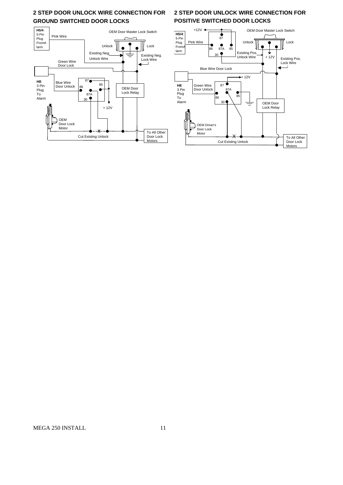### **2 STEP DOOR UNLOCK WIRE CONNECTION FOR GROUND SWITCHED DOOR LOCKS**



### **2 STEP DOOR UNLOCK WIRE CONNECTION FOR POSITIVE SWITCHED DOOR LOCKS**

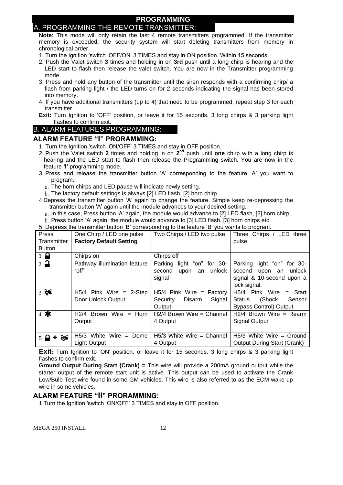### **PROGRAMMING**

### A. PROGRAMMING THE REMOTE TRANSMITTER:

**Note:** This mode will only retain the last 4 remote transmitters programmed. If the transmitter memory is exceeded, the security system will start deleting transmitters from memory in chronological order.

- 1. Turn the Ignition 'switch 'OFF/ON' 3 TIMES and stay in ON position. Within 15 seconds.
- 2. Push the Valet switch **3** times and holding in on **3rd** push until a long chirp is hearing and the LED start to flash then release the valet switch. You are now in the Transmitter programming mode.
- 3. Press and hold any button of the transmitter until the siren responds with a confirming chirp/ a flash from parking light / the LED turns on for 2 seconds indicating the signal has been stored into memory.
- 4. If you have additional transmitters (up to 4) that need to be programmed, repeat step 3 for each transmitter.

**Exit:** Turn Ignition to 'OFF' position, or leave it for 15 seconds. 3 long chirps & 3 parking light flashes to confirm exit.

### B. ALARM FEATURES PROGRAMMING:

### **ALARM FEATURE "I" PRORAMMING:**

- 1. Turn the Ignition 'switch 'ON/OFF' 3 TIMES and stay in OFF position.
- 2. Push the Valet switch 2 times and holding in on 2<sup>nd</sup> push until one chirp with a long chirp is hearing and the LED start to flash then release the Programming switch. You are now in the feature **'I'** programming mode.
- 3. Press and release the transmitter button 'A' corresponding to the feature 'A' you want to program.
	- a. The horn chirps and LED pause will indicate newly setting.
	- b.The factory default settings is always [2] LED flash, [2] horn chirp.
- 4 Depress the transmitter button 'A' again to change the feature. Simple keep re-depressing the transmitter button 'A' again until the module advances to your desired setting.
	- a. In this case, Press button 'A' again, the module would advance to [2] LED flash, [2] horn chirp.
	- b.Press button 'A' again, the module would advance to [3] LED flash, [3] horn chirps etc.

5. Depress the transmitter button 'B' corresponding to the feature 'B' you wants to program.

| Press                   | One Chirp / LED one pulse      | Two Chirps / LED two pulse       | Three Chirps / LED three           |
|-------------------------|--------------------------------|----------------------------------|------------------------------------|
| Transmitter             | <b>Factory Default Setting</b> |                                  | pulse                              |
| <b>Button</b>           |                                |                                  |                                    |
| $1 \bullet$             | Chirps on                      | Chirps off                       |                                    |
| $2\rightarrow$          | Pathway illumination feature   | "on" for 30-<br>Parking<br>light | Parking<br>light "on" for 30-      |
|                         | "off"                          | unlock<br>second<br>upon<br>an   | unlock<br>second<br>upon<br>an     |
|                         |                                | signal                           | signal & 10-second upon a          |
|                         |                                |                                  | lock signal.                       |
| 35                      | $H5/4$ Pink Wire = 2-Step      | $H5/4$ Pink Wire = Factory       | H5/4<br>Pink<br>Wire<br>$=$ Start  |
|                         | Door Unlock Output             | Disarm<br>Signal<br>Security     | (Shock<br><b>Status</b><br>Sensor  |
|                         |                                | Output                           | <b>Bypass Control) Output</b>      |
| $4$ *                   | H2/4 Brown Wire<br>$=$ Horn    | $H2/4$ Brown Wire = Channel      | $H2/4$ Brown Wire = Rearm          |
|                         | Output                         | 4 Output                         | <b>Signal Output</b>               |
|                         |                                |                                  |                                    |
| $5 \blacktriangleright$ | H5/3 White<br>Wire $=$<br>Dome | $H5/3$ White Wire = Channel      | $H5/3$ White Wire = Ground         |
|                         | <b>Light Output</b>            | 4 Output                         | <b>Output During Start (Crank)</b> |

**Exit:** Turn Ignition to 'ON' position, or leave it for 15 seconds. 3 long chirps & 3 parking light flashes to confirm exit.

**Ground Output During Start (Crank) =** This wire will provide a 200mA ground output while the starter output of the remote start unit is active. This output can be used to activate the Crank Low/Bulb Test wire found in some GM vehicles. This wire is also referred to as the ECM wake up wire in some vehicles.

### **ALARM FEATURE "II" PRORAMMING:**

1 Turn the Ignition 'switch 'ON/OFF' 3 TIMES and stay in OFF position.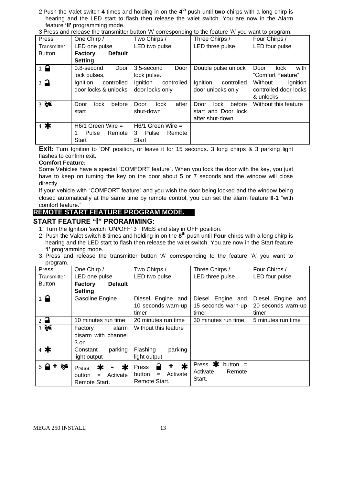2 Push the Valet switch **4** times and holding in on the **4 th** push until **two** chirps with a long chirp is hearing and the LED start to flash then release the valet switch. You are now in the Alarm feature **'II'** programming mode.

|  | 3 Press and release the transmitter button 'A' corresponding to the feature 'A' you want to program. |  |
|--|------------------------------------------------------------------------------------------------------|--|

| Press                         | One Chirp /                      | Two Chirps /           | Three Chirps /          | Four Chirps /         |
|-------------------------------|----------------------------------|------------------------|-------------------------|-----------------------|
| Transmitter                   | LED one pulse                    | LED two pulse          | LED three pulse         | LED four pulse        |
| <b>Button</b>                 | <b>Default</b><br><b>Factory</b> |                        |                         |                       |
|                               | <b>Setting</b>                   |                        |                         |                       |
| $\overline{1}$ $\overline{1}$ | Door<br>0.8-second               | 3.5-second<br>Door     | Double pulse unlock     | with<br>Door<br>lock. |
|                               | lock pulses.                     | lock pulse.            |                         | "Comfort Feature"     |
| $2\overline{a}$               | Ignition<br>controlled           | Ignition<br>controlled | Ignition<br>controlled  | Without<br>ignition   |
|                               | door locks & unlocks             | door locks only        | door unlocks only       | controlled door locks |
|                               |                                  |                        |                         | & unlocks             |
| 35                            | before<br><b>lock</b><br>Door    | after<br>lock<br>Door  | before<br>Door<br>lock. | Without this feature  |
|                               | start                            | shut-down              | start and Door lock     |                       |
|                               |                                  |                        | after shut-down         |                       |
| $4$ *                         | $H6/1$ Green Wire =              | $H6/1$ Green Wire =    |                         |                       |
|                               | Pulse<br>Remote                  | Pulse<br>Remote<br>3   |                         |                       |
|                               | <b>Start</b>                     | Start                  |                         |                       |

**Exit:** Turn Ignition to 'ON' position, or leave it for 15 seconds. 3 long chirps & 3 parking light flashes to confirm exit.

#### **Comfort Feature:**

Some Vehicles have a special "COMFORT feature". When you lock the door with the key, you just have to keep on turning the key on the door about 5 or 7 seconds and the window will close directly.

If your vehicle with "COMFORT feature" and you wish the door being locked and the window being closed automatically at the same time by remote control, you can set the alarm feature **II-1** "with comfort feature."

### **REMOTE START FEATURE PROGRAM MODE.**

### **START FEATURE "I" PRORAMMING:**

- 1. Turn the Ignition 'switch 'ON/OFF' 3 TIMES and stay in OFF position.
- 2. Push the Valet switch **8** times and holding in on the **8 th** push until **Four** chirps with a long chirp is hearing and the LED start to flash then release the valet switch. You are now in the Start feature **'I'** programming mode.
- 3. Press and release the transmitter button 'A' corresponding to the feature 'A' you want to program.

| <b>Press</b>       | One Chirp /                                                   | Two Chirps /                                                  | Three Chirps /                                         | Four Chirps /                                    |
|--------------------|---------------------------------------------------------------|---------------------------------------------------------------|--------------------------------------------------------|--------------------------------------------------|
| Transmitter        | LED one pulse                                                 | LED two pulse                                                 | LED three pulse                                        | LED four pulse                                   |
| <b>Button</b>      | <b>Default</b><br><b>Factory</b>                              |                                                               |                                                        |                                                  |
|                    | <b>Setting</b>                                                |                                                               |                                                        |                                                  |
| $1$ $\blacksquare$ | Gasoline Engine                                               | Diesel Engine<br>and<br>10 seconds warn-up<br>timer           | Diesel<br>Engine<br>and<br>15 seconds warn-up<br>timer | Diesel Engine and<br>20 seconds warn-up<br>timer |
| $2$ $\bullet$      | 10 minutes run time                                           | 20 minutes run time                                           | 30 minutes run time                                    | 5 minutes run time                               |
| 35                 | alarm<br>Factory<br>disarm with channel<br>3 on               | Without this feature                                          |                                                        |                                                  |
| $4$ *              | parking<br>Constant<br>light output                           | Flashing<br>parking<br>light output                           |                                                        |                                                  |
| 5 <sub>1</sub>     | ≭<br>∗<br>Press<br>Activate<br>button<br>$=$<br>Remote Start. | $\ast$<br>Press<br>Activate<br>button<br>$=$<br>Remote Start. | Press *<br>button $=$<br>Activate<br>Remote<br>Start.  |                                                  |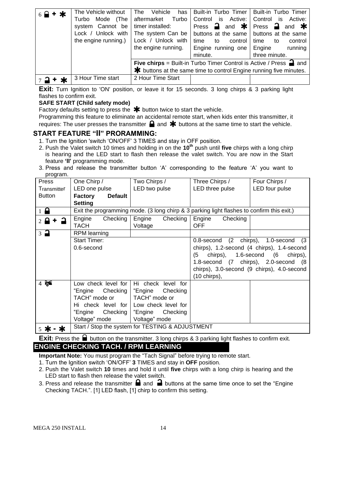| $6$ $\rightarrow$ + $\star$ | The Vehicle without<br>Mode (The<br>Turbo<br>system Cannot be<br>Lock / Unlock with<br>the engine running.) | The<br>Vehicle<br>has<br>aftermarket Turbo<br>timer installed:<br>The system Can be<br>Lock / Unlock with<br>the engine running. | Built-in Turbo Timer<br>Control is<br>Press $\rightarrow$ and $\cdot \cdot \cdot$ Press $\rightarrow$ and $\cdot \cdot \cdot$<br>buttons at the same   buttons at the same<br>time<br>control I<br>to<br>Engine running one<br>minute. | <b>Built-in Turbo Timer</b><br>Active: Control is<br>Active:<br>control<br>time<br>to<br>Engine<br>running<br>three minute. |
|-----------------------------|-------------------------------------------------------------------------------------------------------------|----------------------------------------------------------------------------------------------------------------------------------|----------------------------------------------------------------------------------------------------------------------------------------------------------------------------------------------------------------------------------------|-----------------------------------------------------------------------------------------------------------------------------|
|                             |                                                                                                             |                                                                                                                                  | <b>Five chirps</b> = Built-in Turbo Timer Control is Active / Press $\rightarrow$ and<br>* buttons at the same time to control Engine running five minutes.                                                                            |                                                                                                                             |
|                             | 3 Hour Time start                                                                                           | 2 Hour Time Start                                                                                                                |                                                                                                                                                                                                                                        |                                                                                                                             |

**Exit:** Turn Ignition to 'ON' position, or leave it for 15 seconds, 3 long chirps & 3 parking light flashes to confirm exit.

#### **SAFE START (Child safety mode)**

Factory defaults setting to press the  $*$  button twice to start the vehicle.

Programming this feature to eliminate an accidental remote start, when kids enter this transmitter, it

requires: The user presses the transmitter  $\Box$  and  $\bigstar$  buttons at the same time to start the vehicle.

### **START FEATURE "II" PRORAMMING:**

- 1. Turn the Ignition 'switch 'ON/OFF' 3 TIMES and stay in OFF position.
- 2. Push the Valet switch 10 times and holding in on the **10th** push until **five** chirps with a long chirp is hearing and the LED start to flash then release the valet switch. You are now in the Start feature **'II'** programming mode.
- 3. Press and release the transmitter button 'A' corresponding to the feature 'A' you want to program.

| $\sim$<br>Press               | One Chirp /                      | Two Chirps /                                                                              | Three Chirps /               | Four Chirps /                              |
|-------------------------------|----------------------------------|-------------------------------------------------------------------------------------------|------------------------------|--------------------------------------------|
|                               |                                  |                                                                                           |                              |                                            |
| Transmitter                   | LED one pulse                    | LED two pulse                                                                             | LED three pulse              | LED four pulse                             |
| <b>Button</b>                 | <b>Factory</b><br><b>Default</b> |                                                                                           |                              |                                            |
|                               | <b>Setting</b>                   |                                                                                           |                              |                                            |
| $1\blacksquare$               |                                  | Exit the programming mode. (3 long chirp & 3 parking light flashes to confirm this exit.) |                              |                                            |
| $2$ $\blacksquare$            | Checking<br>Engine               | Checking<br>Engine                                                                        | Engine<br>Checking           |                                            |
|                               | TACH                             | Voltage                                                                                   | <b>OFF</b>                   |                                            |
| $\overline{3}$ $\overline{4}$ | <b>RPM</b> learning              |                                                                                           |                              |                                            |
|                               | <b>Start Timer:</b>              |                                                                                           | 0.8-second                   | (2 chirps), 1.0-second<br>- (3             |
|                               | 0.6-second                       |                                                                                           |                              | chirps), 1.2-second (4 chirps), 1.4-second |
|                               |                                  |                                                                                           | chirps), 1.6-second (6<br>(5 | chirps),                                   |
|                               |                                  |                                                                                           |                              | 1.8-second (7 chirps), 2.0-second (8       |
|                               |                                  |                                                                                           |                              |                                            |
|                               |                                  |                                                                                           |                              | chirps), 3.0-second (9 chirps), 4.0-second |
|                               |                                  |                                                                                           | $(10 \text{ chirps})$ ,      |                                            |
| 4 <sup>8</sup>                | Low check level for              | Hi check level for                                                                        |                              |                                            |
|                               | "Engine Checking                 | Checking<br>"Engine                                                                       |                              |                                            |
|                               | TACH" mode or                    | TACH" mode or                                                                             |                              |                                            |
|                               | Hi check level for l             | Low check level for                                                                       |                              |                                            |
|                               | Checking<br>"Engine              | Checking<br>"Engine                                                                       |                              |                                            |
|                               |                                  |                                                                                           |                              |                                            |
|                               | Voltage" mode                    | Voltage" mode                                                                             |                              |                                            |
|                               |                                  | Start / Stop the system for TESTING & ADJUSTMENT                                          |                              |                                            |
|                               |                                  |                                                                                           |                              |                                            |

**Exit:** Press the **button on the transmitter.** 3 long chirps & 3 parking light flashes to confirm exit. **ENGINE CHECKING TACH. / RPM LEARNING** 

**Important Note:** You must program the "Tach Signal" before trying to remote start.

1. Turn the Ignition switch 'ON/OFF' **3** TIMES and stay in **OFF** position.

- 2. Push the Valet switch **10** times and hold it until **five** chirps with a long chirp is hearing and the LED start to flash then release the valet switch.
- 3. Press and release the transmitter  $\blacksquare$  and  $\blacksquare$  buttons at the same time once to set the "Engine" Checking TACH.". [1] LED flash, [1] chirp to confirm this setting.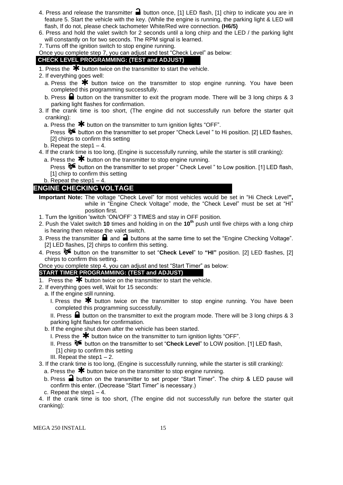- 4. Press and release the transmitter  $\blacksquare$  button once, [1] LED flash, [1] chirp to indicate you are in feature 5. Start the vehicle with the key. (While the engine is running, the parking light & LED will flash, If do not, please check tachometer White/Red wire connection. **(H6/5)**
- 6. Press and hold the valet switch for 2 seconds until a long chirp and the LED / the parking light will constantly on for two seconds. The RPM signal is learned.
- 7. Turns off the ignition switch to stop engine running.

Once you complete step 7, you can adjust and test "Check Level" as below:

### **CHECK LEVEL PROGRAMMING: (TEST and ADJUST)**

- 1. Press the  $\bigstar$  button twice on the transmitter to start the vehicle.
- 2. If everything goes well:
	- a. Press the  $*$  button twice on the transmitter to stop engine running. You have been completed this programming successfully.
	- b. Press  $\blacksquare$  button on the transmitter to exit the program mode. There will be 3 long chirps & 3 parking light flashes for confirmation.
- 3. If the crank time is too short, (The engine did not successfully run before the starter quit cranking):
	- a. Press the  $*$  button on the transmitter to turn ignition lights "OFF".

Press  $\delta$  button on the transmitter to set proper "Check Level" to Hi position. [2] LED flashes, [2] chirps to confirm this setting

- b. Repeat the step  $1 4$ .
- 4. If the crank time is too long, (Engine is successfully running, while the starter is still cranking):
	- a. Press the  $\bigstar$  button on the transmitter to stop engine running.
	- Press  $\delta$  button on the transmitter to set proper " Check Level " to Low position. [1] LED flash, [1] chirp to confirm this setting
	- b. Repeat the step1 4.

### **ENGINE CHECKING VOLTAGE**

- **Important Note:** The voltage "Check Level" for most vehicles would be set in "Hi Check Level**",**  while in "Engine Check Voltage" mode, the "Check Level" must be set at "HI" position first.
- 1. Turn the Ignition 'switch 'ON/OFF' 3 TIMES and stay in OFF position.
- 2. Push the Valet switch **10** times and holding in on the **10th** push until five chirps with a long chirp is hearing then release the valet switch.
- 3. Press the transmitter  $\blacksquare$  and  $\blacksquare$  buttons at the same time to set the "Engine Checking Voltage". [2] LED flashes, [2] chirps to confirm this setting.
- 4. Press button on the transmitter to set "**Check Level**" to **"HI"** position. [2] LED flashes, [2] chirps to confirm this setting.

Once you complete step 4, you can adjust and test "Start Timer" as below:

### **START TIMER PROGRAMMING: (TEST and ADJUST)**

- 1. Press the  $*$  button twice on the transmitter to start the vehicle.
- 2. If everything goes well, Wait for 15 seconds:
	- a. If the engine still running.
		- I. Press the  $\bigstar$  button twice on the transmitter to stop engine running. You have been completed this programming successfully.

II. Press  $\blacksquare$  button on the transmitter to exit the program mode. There will be 3 long chirps & 3 parking light flashes for confirmation.

- b. If the engine shut down after the vehicle has been started.
	- I. Press the  $\clubsuit$  button twice on the transmitter to turn ignition lights "OFF".
	- II. Press button on the transmitter to set "**Check Level**" to LOW position. [1] LED flash, [1] chirp to confirm this setting
	- III. Repeat the step1 2.
- 3. If the crank time is too long, (Engine is successfully running, while the starter is still cranking):
- a. Press the  $*$  button twice on the transmitter to stop engine running.
- b. Press  $\blacksquare$  button on the transmitter to set proper "Start Timer". The chirp & LED pause will confirm this enter. (Decrease "Start Timer" is necessary.)
- c. Repeat the step1 4.

4. If the crank time is too short, (The engine did not successfully run before the starter quit cranking):

MEGA 250 INSTALL 15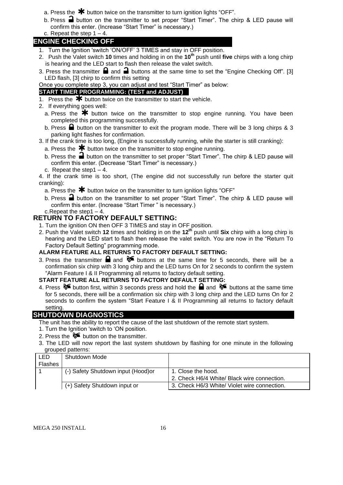- a. Press the  $*$  button twice on the transmitter to turn ignition lights "OFF".
- b. Press  $\blacksquare$  button on the transmitter to set proper "Start Timer". The chirp & LED pause will confirm this enter. (Increase "Start Timer" is necessary.)
- c. Repeat the step  $1 4$ .

### **ENGINE CHECKING OFF**

- 1. Turn the Ignition 'switch 'ON/OFF' 3 TIMES and stay in OFF position.
- 2. Push the Valet switch **10** times and holding in on the **10th** push until **five** chirps with a long chirp is hearing and the LED start to flash then release the valet switch.
- 3. Press the transmitter  $\bigoplus$  and  $\bigoplus$  buttons at the same time to set the "Engine Checking Off". [3] LED flash, [3] chirp to confirm this setting

Once you complete step 3, you can adjust and test "Start Timer" as below:

### **START TIMER PROGRAMMING: (TEST and ADJUST)**

- 1. Press the  $*$  button twice on the transmitter to start the vehicle.
- 2. If everything goes well:
	- a. Press the  $\clubsuit$  button twice on the transmitter to stop engine running. You have been completed this programming successfully.
	- b. Press  $\blacksquare$  button on the transmitter to exit the program mode. There will be 3 long chirps & 3 parking light flashes for confirmation.

### 3. If the crank time is too long, (Engine is successfully running, while the starter is still cranking):

- a. Press the  $*$  button twice on the transmitter to stop engine running.
- b. Press the  $\blacksquare$  button on the transmitter to set proper "Start Timer". The chirp & LED pause will confirm this enter. (Decrease "Start Timer" is necessary.)
- c. Repeat the step1 4.

4. If the crank time is too short, (The engine did not successfully run before the starter quit cranking):

- a. Press the  $\mathbf{\mathbf{\#}}$  button twice on the transmitter to turn ignition lights "OFF"
- b. Press  $\blacksquare$  button on the transmitter to set proper "Start Timer". The chirp & LED pause will confirm this enter. (Increase "Start Timer " is necessary.)

### c.Repeat the step1 – 4.

- **RETURN TO FACTORY DEFAULT SETTING:**
	- 1. Turn the ignition ON then OFF 3 TIMES and stay in OFF position.
	- 2. Push the Valet switch **12** times and holding in on the **12th** push until **Six** chirp with a long chirp is hearing and the LED start to flash then release the valet switch. You are now in the "Return To Factory Default Setting" programming mode.

### **ALARM FEATURE ALL RETURNS TO FACTORY DEFAULT SETTING:**

3. Press the transmitter **a** and  $\delta$  buttons at the same time for 5 seconds, there will be a confirmation six chirp with 3 long chirp and the LED turns On for 2 seconds to confirm the system "Alarm Feature I & II Programming all returns to factory default setting.

### **START FEATURE ALL RETURNS TO FACTORY DEFAULT SETTING:**

4. Press  $\mathcal{F}$  button first, within 3 seconds press and hold the  $\mathbf{a}$  and  $\mathbf{b}$  buttons at the same time for 5 seconds, there will be a confirmation six chirp with 3 long chirp and the LED turns On for 2 seconds to confirm the system "Start Feature I & II Programming all returns to factory default setting.

### **SHUTDOWN DIAGNOSTICS**

- The unit has the ability to report the cause of the last shutdown of the remote start system.
- 1. Turn the Ignition 'switch to 'ON position.
- 2. Press the  $\delta$  button on the transmitter.
- 3. The LED will now report the last system shutdown by flashing for one minute in the following grouped patterns:

| <b>LED</b><br>Shutdown Mode                                                  |  |
|------------------------------------------------------------------------------|--|
| <b>Flashes</b>                                                               |  |
| (-) Safety Shutdown input (Hood)or<br>1. Close the hood.                     |  |
| 2. Check H6/4 White/ Black wire connection.                                  |  |
| (+) Safety Shutdown input or<br>3. Check H6/3 White/ Violet wire connection. |  |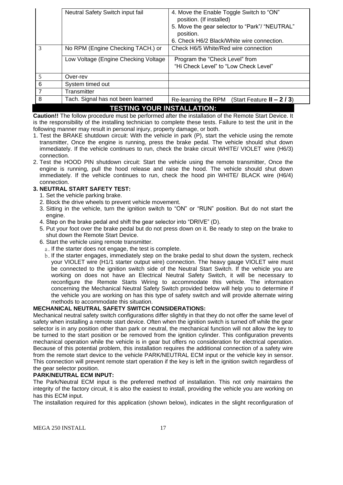|                                   | Neutral Safety Switch input fail     | 4. Move the Enable Toggle Switch to "ON"<br>position. (If installed)<br>5. Move the gear selector to "Park"/ "NEUTRAL"<br>position.<br>6. Check H6/2 Black/White wire connection. |  |
|-----------------------------------|--------------------------------------|-----------------------------------------------------------------------------------------------------------------------------------------------------------------------------------|--|
| 3                                 | No RPM (Engine Checking TACH.) or    | Check H6/5 White/Red wire connection                                                                                                                                              |  |
|                                   | Low Voltage (Engine Checking Voltage | Program the "Check Level" from<br>"Hi Check Level" to "Low Check Level"                                                                                                           |  |
| 5                                 | Over-rev                             |                                                                                                                                                                                   |  |
| 6                                 | System timed out                     |                                                                                                                                                                                   |  |
| $\overline{7}$                    | Transmitter                          |                                                                                                                                                                                   |  |
| 8                                 | Tach. Signal has not been learned    | (Start Feature $II - 2/3$ )<br>Re-learning the RPM                                                                                                                                |  |
| <b>TESTING YOUR INSTALLATION:</b> |                                      |                                                                                                                                                                                   |  |

**Caution!!** The follow procedure must be performed after the installation of the Remote Start Device. It is the responsibility of the installing technician to complete these tests. Failure to test the unit in the following manner may result in personal injury, property damage, or both.

- 1. Test the BRAKE shutdown circuit: With the vehicle in park (P), start the vehicle using the remote transmitter, Once the engine is running, press the brake pedal. The vehicle should shut down immediately. If the vehicle continues to run, check the brake circuit WHITE/ VIOLET wire (H6/3) connection.
- 2. Test the HOOD PIN shutdown circuit: Start the vehicle using the remote transmitter, Once the engine is running, pull the hood release and raise the hood. The vehicle should shut down immediately. If the vehicle continues to run, check the hood pin WHITE/ BLACK wire (H6/4) connection.

### **3. NEUTRAL START SAFETY TEST:**

- 1. Set the vehicle parking brake.
- 2. Block the drive wheels to prevent vehicle movement.
- 3. Sitting in the vehicle, turn the ignition switch to "ON" or "RUN" position. But do not start the engine.
- 4. Step on the brake pedal and shift the gear selector into "DRIVE" (D).
- 5. Put your foot over the brake pedal but do not press down on it. Be ready to step on the brake to shut down the Remote Start Device.
- 6. Start the vehicle using remote transmitter.
- a. If the starter does not engage, the test is complete.
- b. If the starter engages, immediately step on the brake pedal to shut down the system, recheck your VIOLET wire (H1/1 starter output wire) connection. The heavy gauge VIOLET wire must be connected to the ignition switch side of the Neutral Start Switch. If the vehicle you are working on does not have an Electrical Neutral Safety Switch, it will be necessary to reconfigure the Remote Starts Wiring to accommodate this vehicle. The information concerning the Mechanical Neutral Safety Switch provided below will help you to determine if the vehicle you are working on has this type of safety switch and will provide alternate wiring methods to accommodate this situation.

### **MECHANICAL NEUTRAL SAFETY SWITCH CONSIDERATIONS:**

Mechanical neutral safety switch configurations differ slightly in that they do not offer the same level of safety when installing a remote start device. Often when the ignition switch is turned off while the gear selector is in any position other than park or neutral, the mechanical function will not allow the key to be turned to the start position or be removed from the ignition cylinder. This configuration prevents mechanical operation while the vehicle is in gear but offers no consideration for electrical operation. Because of this potential problem, this installation requires the additional connection of a safety wire from the remote start device to the vehicle PARK/NEUTRAL ECM input or the vehicle key in sensor. This connection will prevent remote start operation if the key is left in the ignition switch regardless of the gear selector position.

### **PARK/NEUTRAL ECM INPUT:**

The Park/Neutral ECM input is the preferred method of installation. This not only maintains the integrity of the factory circuit, it is also the easiest to install, providing the vehicle you are working on has this ECM input.

The installation required for this application (shown below), indicates in the slight reconfiguration of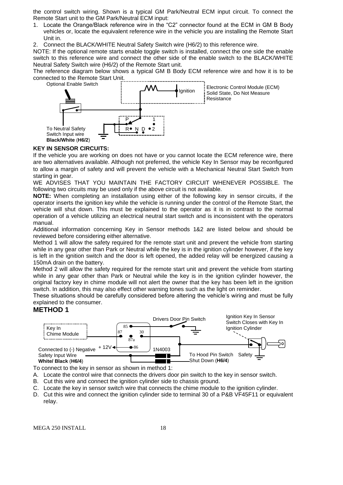the control switch wiring. Shown is a typical GM Park/Neutral ECM input circuit. To connect the Remote Start unit to the GM Park/Neutral ECM input:

- 1. Locate the Orange/Black reference wire in the "C2" connector found at the ECM in GM B Body vehicles or, locate the equivalent reference wire in the vehicle you are installing the Remote Start Unit in.
- 2. Connect the BLACK/WHITE Neutral Safety Switch wire (H6/2) to this reference wire.

NOTE: If the optional remote starts enable toggle switch is installed, connect the one side the enable switch to this reference wire and connect the other side of the enable switch to the BLACK/WHITE Neutral Safety Switch wire (H6/2) of the Remote Start unit.

The reference diagram below shows a typical GM B Body ECM reference wire and how it is to be connected to the Remote Start Unit.



#### **KEY IN SENSOR CIRCUITS:**

If the vehicle you are working on does not have or you cannot locate the ECM reference wire, there are two alternatives available. Although not preferred, the vehicle Key In Sensor may be reconfigured to allow a margin of safety and will prevent the vehicle with a Mechanical Neutral Start Switch from starting in gear.

WE ADVISES THAT YOU MAINTAIN THE FACTORY CIRCUIT WHENEVER POSSIBLE. The following two circuits may be used only if the above circuit is not available.

**NOTE:** When completing an installation using either of the following key in sensor circuits, if the operator inserts the ignition key while the vehicle is running under the control of the Remote Start, the vehicle will shut down. This must be explained to the operator as it is in contrast to the normal operation of a vehicle utilizing an electrical neutral start switch and is inconsistent with the operators manual.

Additional information concerning Key in Sensor methods 1&2 are listed below and should be reviewed before considering either alternative.

Method 1 will allow the safety required for the remote start unit and prevent the vehicle from starting while in any gear other than Park or Neutral while the key is in the ignition cylinder however, if the key is left in the ignition switch and the door is left opened, the added relay will be energized causing a 150mA drain on the battery.

Method 2 will allow the safety required for the remote start unit and prevent the vehicle from starting while in any gear other than Park or Neutral while the key is in the ignition cylinder however, the original factory key in chime module will not alert the owner that the key has been left in the ignition switch. In addition, this may also effect other warning tones such as the light on reminder.

These situations should be carefully considered before altering the vehicle's wiring and must be fully explained to the consumer.

### **METHOD 1**



To connect to the key in sensor as shown in method 1:

A. Locate the control wire that connects the drivers door pin switch to the key in sensor switch.

- B. Cut this wire and connect the ignition cylinder side to chassis ground.
- C. Locate the key in sensor switch wire that connects the chime module to the ignition cylinder.
- D. Cut this wire and connect the ignition cylinder side to terminal 30 of a P&B VF45F11 or equivalent relay.